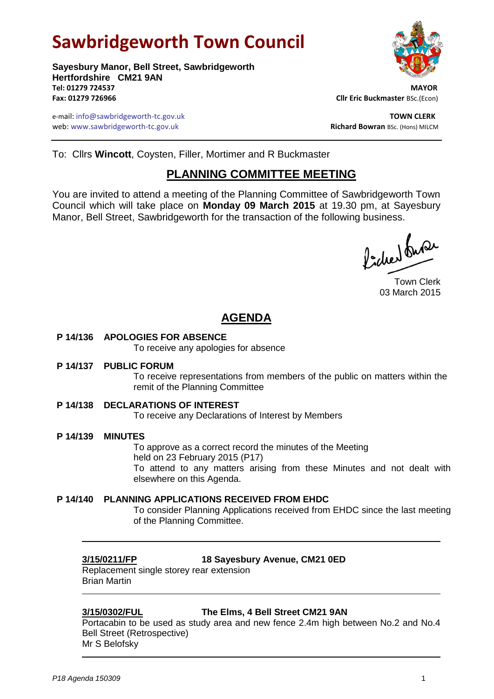# **Sawbridgeworth Town Council**



e-mail: info@sawbridgeworth-tc.gov.uk **TOWN CLERK** web: www.sawbridgeworth-tc.gov.uk **Richard Bowran** BSc. (Hons) MILCM



To: Cllrs **Wincott**, Coysten, Filler, Mortimer and R Buckmaster

## **PLANNING COMMITTEE MEETING**

You are invited to attend a meeting of the Planning Committee of Sawbridgeworth Town Council which will take place on **Monday 09 March 2015** at 19.30 pm, at Sayesbury Manor, Bell Street, Sawbridgeworth for the transaction of the following business.

Picked Super

Town Clerk 03 March 2015

## **AGENDA**

**P 14/136 APOLOGIES FOR ABSENCE**

To receive any apologies for absence

**P 14/137 PUBLIC FORUM**

To receive representations from members of the public on matters within the remit of the Planning Committee

**P 14/138 DECLARATIONS OF INTEREST**

To receive any Declarations of Interest by Members

**P 14/139 MINUTES**

To approve as a correct record the minutes of the Meeting held on 23 February 2015 (P17) To attend to any matters arising from these Minutes and not dealt with elsewhere on this Agenda.

**P 14/140 PLANNING APPLICATIONS RECEIVED FROM EHDC**

To consider Planning Applications received from EHDC since the last meeting of the Planning Committee.

**3/15/0211/FP 18 Sayesbury Avenue, CM21 0ED**

Replacement single storey rear extension Brian Martin

### **3/15/0302/FUL The Elms, 4 Bell Street CM21 9AN**

Portacabin to be used as study area and new fence 2.4m high between No.2 and No.4 Bell Street (Retrospective) Mr S Belofsky